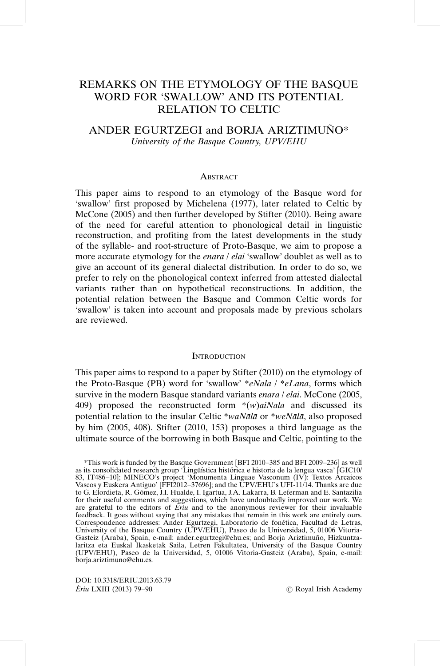# REMARKS ON THE ETYMOLOGY OF THE BASQUE WORD FOR 'SWALLOW' AND ITS POTENTIAL RELATION TO CELTIC

## ANDER EGURTZEGI and BORJA ARIZTIMUÑO\* University of the Basque Country, UPV/EHU

#### $\Delta$  DetD  $\Lambda$ CT

This paper aims to respond to an etymology of the Basque word for 'swallow' first proposed by Michelena (1977), later related to Celtic by McCone (2005) and then further developed by Stifter (2010). Being aware of the need for careful attention to phonological detail in linguistic reconstruction, and profiting from the latest developments in the study of the syllable- and root-structure of Proto-Basque, we aim to propose a more accurate etymology for the *enara / elai* 'swallow' doublet as well as to give an account of its general dialectal distribution. In order to do so, we prefer to rely on the phonological context inferred from attested dialectal variants rather than on hypothetical reconstructions. In addition, the potential relation between the Basque and Common Celtic words for 'swallow' is taken into account and proposals made by previous scholars are reviewed.

#### **INTRODUCTION**

This paper aims to respond to a paper by Stifter (2010) on the etymology of the Proto-Basque (PB) word for 'swallow'  $*eNala / *eLana$ , forms which survive in the modern Basque standard variants *enara / elai*. McCone (2005, 409) proposed the reconstructed form  $*(w)aiNala$  and discussed its potential relation to the insular Celtic \*waN $\bar{a}$ la $\bar{a}$  or \*weN $\bar{a}$ la $\bar{a}$ , also proposed by him (2005, 408). Stifter (2010, 153) proposes a third language as the ultimate source of the borrowing in both Basque and Celtic, pointing to the

DOI: 10.3318/ERIU.2013.63.79 Ériu LXIII (2013) 79-90

 $\circledcirc$  Royal Irish Academy

<sup>\*</sup>This work is funded by the Basque Government [BFI 2010-385 and BFI 2009-236] as well as its consolidated research group 'Lingüística histórica e historia de la lengua vasca' [GIC10/ 83, IT486-10]; MINECO's project 'Monumenta Linguae Vasconum (IV): Textos Arcaicos Vascos y Euskera Antiguo' [FFI2012-37696]; and the UPV/EHU's UFI-11/14. Thanks are due to G. Elordieta, R. Gómez, J.I. Hualde, I. Igartua, J.A. Lakarra, B. Leferman and E. Santazilia for their useful comments and suggestions, which have undoubtedly improved our work. We are grateful to the editors of  $E\ddot{r}u$  and to the anonymous reviewer for their invaluable feedback. It goes without saying that any mistakes that remain in this work are entirely ours. Correspondence addresses: Ander Egurtzegi, Laboratorio de fonética, Facultad de Letras, University of the Basque Country (UPV/EHU), Paseo de la Universidad, 5, 01006 Vitoria-Gasteiz (Araba), Spain, e-mail: ander.egurtzegi@ehu.es; and Borja Ariztimuño, Hizkuntzalaritza eta Euskal Ikasketak Saila, Letren Fakultatea, University of the Basque Country (UPV/EHU), Paseo de la Universidad, 5, 01006 Vitoria-Gasteiz (Araba), Spain, e-mail: borja.ariztimuno@ehu.es.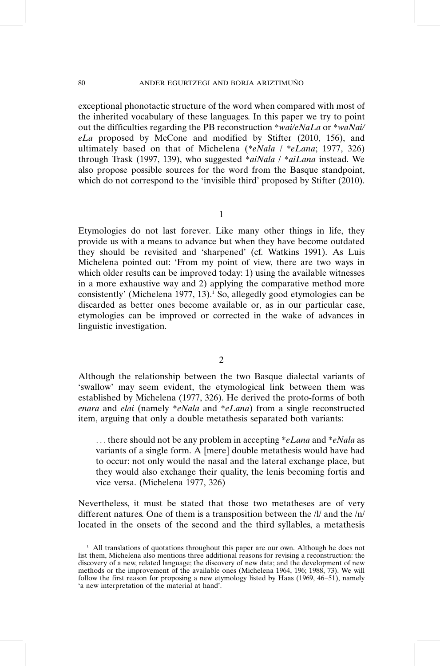#### 80 ANDER EGURTZEGI AND BORJA ARIZTIMUÑO

exceptional phonotactic structure of the word when compared with most of the inherited vocabulary of these languages. In this paper we try to point out the difficulties regarding the PB reconstruction \*wai/eNaLa or \*waNai/ eLa proposed by McCone and modified by Stifter (2010, 156), and ultimately based on that of Michelena (\*eNala / \*eLana; 1977, 326) through Trask (1997, 139), who suggested \*aiNala / \*aiLana instead. We also propose possible sources for the word from the Basque standpoint, which do not correspond to the 'invisible third' proposed by Stifter (2010).

Etymologies do not last forever. Like many other things in life, they provide us with a means to advance but when they have become outdated they should be revisited and 'sharpened' (cf. Watkins 1991). As Luis Michelena pointed out: 'From my point of view, there are two ways in which older results can be improved today: 1) using the available witnesses in a more exhaustive way and 2) applying the comparative method more consistently' (Michelena 1977, 13).<sup>1</sup> So, allegedly good etymologies can be discarded as better ones become available or, as in our particular case, etymologies can be improved or corrected in the wake of advances in linguistic investigation.

2

Although the relationship between the two Basque dialectal variants of 'swallow' may seem evident, the etymological link between them was established by Michelena (1977, 326). He derived the proto-forms of both enara and elai (namely \*eNala and \*eLana) from a single reconstructed item, arguing that only a double metathesis separated both variants:

... there should not be any problem in accepting \*eLana and \*eNala as variants of a single form. A [mere] double metathesis would have had to occur: not only would the nasal and the lateral exchange place, but they would also exchange their quality, the lenis becoming fortis and vice versa. (Michelena 1977, 326)

Nevertheless, it must be stated that those two metatheses are of very different natures. One of them is a transposition between the /l/ and the /n/ located in the onsets of the second and the third syllables, a metathesis

 $1$  All translations of quotations throughout this paper are our own. Although he does not list them, Michelena also mentions three additional reasons for revising a reconstruction: the discovery of a new, related language; the discovery of new data; and the development of new methods or the improvement of the available ones (Michelena 1964, 196; 1988, 73). We will follow the first reason for proposing a new etymology listed by Haas (1969, 46-51), namely 'a new interpretation of the material at hand'.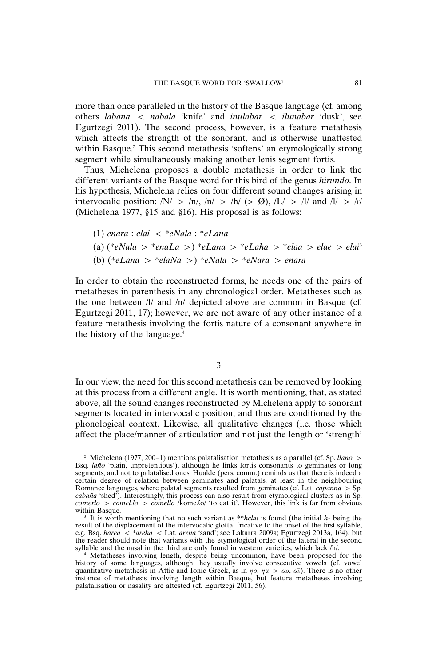more than once paralleled in the history of the Basque language (cf. among others labana < nabala 'knife' and inulabar < ilunabar 'dusk', see Egurtzegi 2011). The second process, however, is a feature metathesis which affects the strength of the sonorant, and is otherwise unattested within Basque.<sup>2</sup> This second metathesis 'softens' an etymologically strong segment while simultaneously making another lenis segment fortis.

Thus, Michelena proposes a double metathesis in order to link the different variants of the Basque word for this bird of the genus hirundo. In his hypothesis, Michelena relies on four different sound changes arising in intervocalic position:  $/N > \ln \frac{1}{n} > \ln \frac{1}{5}$  (>  $\varnothing$ ),  $/L > \ln \frac{1}{5}$  and  $/t > \ln \frac{1}{5}$ (Michelena 1977, §15 and §16). His proposal is as follows:

(1) enara : elai B \*eNala : \*eLana (a) (\*eNala - \*enaLa -) \*eLana - \*eLaha - \*elaa elae elai<sup>3</sup> (b) (\*eLana - \*elaNa -) \*eNala - \*eNara enara

In order to obtain the reconstructed forms, he needs one of the pairs of metatheses in parenthesis in any chronological order. Metatheses such as the one between  $\frac{1}{a}$  and  $\frac{1}{n}$  depicted above are common in Basque (cf. Egurtzegi 2011, 17); however, we are not aware of any other instance of a feature metathesis involving the fortis nature of a consonant anywhere in the history of the language.4

3

In our view, the need for this second metathesis can be removed by looking at this process from a different angle. It is worth mentioning, that, as stated above, all the sound changes reconstructed by Michelena apply to sonorant segments located in intervocalic position, and thus are conditioned by the phonological context. Likewise, all qualitative changes (i.e. those which affect the place/manner of articulation and not just the length or 'strength'

<sup>&</sup>lt;sup>2</sup> Michelena (1977, 200–1) mentions palatalisation metathesis as a parallel (cf. Sp. *llano* > Bsq. *laño* 'plain, unpretentious'), although he links fortis consonants to geminates or long segments, and not to palatalised ones. Hualde (pers. comm.) reminds us that there is indeed a certain degree of relation between geminates and palatals, at least in the neighbouring Romance languages, where palatal segments resulted from geminates (cf. Lat. *capanna* > Sp. cabaña 'shed'). Interestingly, this process can also result from etymological clusters as in Sp.  $comerlo > comel.$   $lo > comello / komeAo/$  'to eat it'. However, this link is far from obvious within Basque.

It is worth mentioning that no such variant as \*\**helai* is found (the initial  $h$ - being the result of the displacement of the intervocalic glottal fricative to the onset of the first syllable, e.g. Bsq. harea < \*areha < Lat. arena 'sand'; see Lakarra 2009a; Egurtzegi 2013a, 164), but the reader should note that variants with the etymological order of the lateral in the second syllable and the nasal in the third are only found in western varieties, which lack /h/.

<sup>4</sup> Metatheses involving length, despite being uncommon, have been proposed for the history of some languages, although they usually involve consecutive vowels (cf. vowel quantitative metathesis in Attic and Ionic Greek, as in  $\eta o$ ,  $\eta \alpha > \varepsilon \omega$ ,  $\varepsilon \bar{\alpha}$ ). There is no other instance of metathesis involving length within Basque, but feature metatheses involving palatalisation or nasality are attested (cf. Egurtzegi 2011, 56).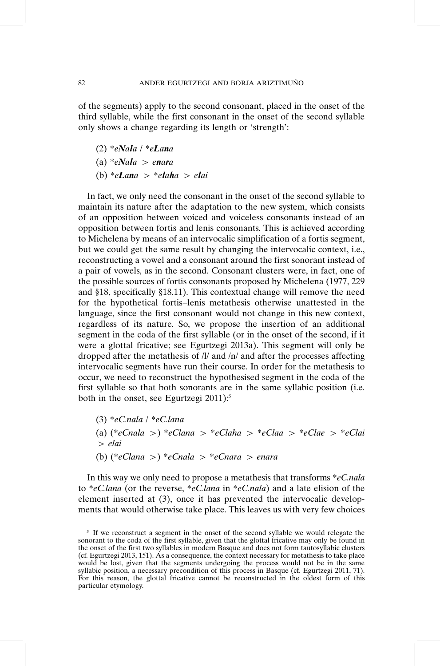of the segments) apply to the second consonant, placed in the onset of the third syllable, while the first consonant in the onset of the second syllable only shows a change regarding its length or 'strength':

- (2)  $*eNala$  /  $*eLana$
- $(a) * eNala > enara$
- (b)  $*e\mathbf{L}$ ana >  $*e\mathbf{L}$ aha > e $\mathbf{L}$ ai

In fact, we only need the consonant in the onset of the second syllable to maintain its nature after the adaptation to the new system, which consists of an opposition between voiced and voiceless consonants instead of an opposition between fortis and lenis consonants. This is achieved according to Michelena by means of an intervocalic simplification of a fortis segment, but we could get the same result by changing the intervocalic context, i.e., reconstructing a vowel and a consonant around the first sonorant instead of a pair of vowels, as in the second. Consonant clusters were, in fact, one of the possible sources of fortis consonants proposed by Michelena (1977, 229 and §18, specifically §18.11). This contextual change will remove the need for the hypothetical fortis-lenis metathesis otherwise unattested in the language, since the first consonant would not change in this new context, regardless of its nature. So, we propose the insertion of an additional segment in the coda of the first syllable (or in the onset of the second, if it were a glottal fricative; see Egurtzegi 2013a). This segment will only be dropped after the metathesis of /l/ and /n/ and after the processes affecting intervocalic segments have run their course. In order for the metathesis to occur, we need to reconstruct the hypothesised segment in the coda of the first syllable so that both sonorants are in the same syllabic position (i.e. both in the onset, see Egurtzegi 2011):<sup>5</sup>

 $(3)$  \*eC.nala / \*eC.lana (a) (\*eCnala >) \*eClana > \*eClaha > \*eClaa > \*eClae > \*eClai - elai (b)  $(*eClana>) *eCnala > *eCnara > enara$ 

In this way we only need to propose a metathesis that transforms  $\ast eC$ *nala* to \*eC.lana (or the reverse, \*eC.lana in \*eC.nala) and a late elision of the element inserted at (3), once it has prevented the intervocalic developments that would otherwise take place. This leaves us with very few choices

<sup>&</sup>lt;sup>5</sup> If we reconstruct a segment in the onset of the second syllable we would relegate the sonorant to the coda of the first syllable, given that the glottal fricative may only be found in the onset of the first two syllables in modern Basque and does not form tautosyllabic clusters (cf. Egurtzegi 2013, 151). As a consequence, the context necessary for metathesis to take place would be lost, given that the segments undergoing the process would not be in the same syllabic position, a necessary precondition of this process in Basque (cf. Egurtzegi 2011, 71). For this reason, the glottal fricative cannot be reconstructed in the oldest form of this particular etymology.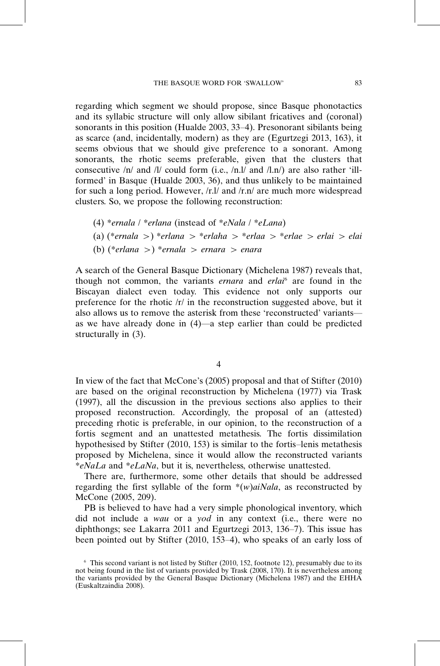regarding which segment we should propose, since Basque phonotactics and its syllabic structure will only allow sibilant fricatives and (coronal) sonorants in this position (Hualde 2003, 33-4). Presonorant sibilants being as scarce (and, incidentally, modern) as they are (Egurtzegi 2013, 163), it seems obvious that we should give preference to a sonorant. Among sonorants, the rhotic seems preferable, given that the clusters that consecutive /n/ and /l/ could form (i.e., /n.l/ and /l.n/) are also rather 'illformed' in Basque (Hualde 2003, 36), and thus unlikely to be maintained for such a long period. However, /r.l/ and /r.n/ are much more widespread clusters. So, we propose the following reconstruction:

- (4) \*ernala / \*erlana (instead of \*eNala / \*eLana)
- (a) (\*ernala >) \*erlana > \*erlaha > \*erlaa > \*erlae > erlai > elai
- (b) (\*erlana >) \*ernala > ernara > enara

A search of the General Basque Dictionary (Michelena 1987) reveals that, though not common, the variants ernara and erlai<sup>6</sup> are found in the Biscayan dialect even today. This evidence not only supports our preference for the rhotic  $/r/$  in the reconstruction suggested above, but it also allows us to remove the asterisk from these 'reconstructed' variants as we have already done in  $(4)$ —a step earlier than could be predicted structurally in (3).

4

In view of the fact that McCone's (2005) proposal and that of Stifter (2010) are based on the original reconstruction by Michelena (1977) via Trask (1997), all the discussion in the previous sections also applies to their proposed reconstruction. Accordingly, the proposal of an (attested) preceding rhotic is preferable, in our opinion, to the reconstruction of a fortis segment and an unattested metathesis. The fortis dissimilation hypothesised by Stifter (2010, 153) is similar to the fortis-lenis metathesis proposed by Michelena, since it would allow the reconstructed variants \*eNaLa and \*eLaNa, but it is, nevertheless, otherwise unattested.

There are, furthermore, some other details that should be addressed regarding the first syllable of the form  $*(w)aNala$ , as reconstructed by McCone (2005, 209).

PB is believed to have had a very simple phonological inventory, which did not include a wau or a yod in any context (i.e., there were no diphthongs; see Lakarra 2011 and Egurtzegi 2013, 136-7). This issue has been pointed out by Stifter (2010, 153-4), who speaks of an early loss of

<sup>6</sup> This second variant is not listed by Stifter (2010, 152, footnote 12), presumably due to its not being found in the list of variants provided by Trask (2008, 170). It is nevertheless among the variants provided by the General Basque Dictionary (Michelena 1987) and the EHHA (Euskaltzaindia 2008).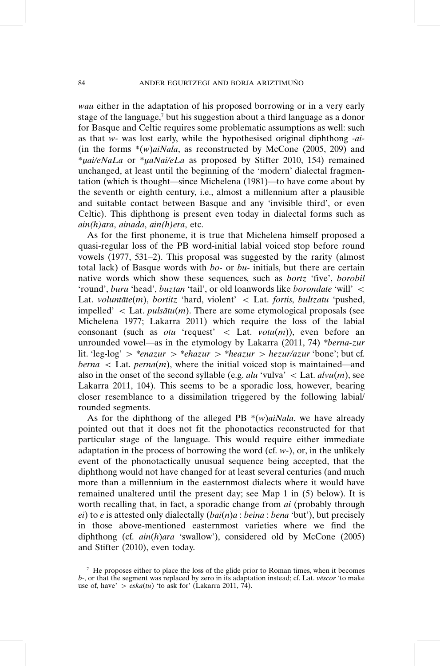84 ANDER EGURTZEGI AND BORJA ARIZTIMUÑO

wau either in the adaptation of his proposed borrowing or in a very early stage of the language, $7$  but his suggestion about a third language as a donor for Basque and Celtic requires some problematic assumptions as well: such as that  $w$ - was lost early, while the hypothesised original diphthong - $ai$ -(in the forms  $*(w)aiNala$ , as reconstructed by McCone (2005, 209) and \**uai/eNaLa* or \**uaNai/eLa* as proposed by Stifter 2010, 154) remained unchanged, at least until the beginning of the 'modern' dialectal fragmentation (which is thought—since Michelena  $(1981)$ —to have come about by the seventh or eighth century, i.e., almost a millennium after a plausible and suitable contact between Basque and any 'invisible third', or even Celtic). This diphthong is present even today in dialectal forms such as ain(h)ara, ainada, ain(h)era, etc.

As for the first phoneme, it is true that Michelena himself proposed a quasi-regular loss of the PB word-initial labial voiced stop before round vowels (1977, 531-2). This proposal was suggested by the rarity (almost total lack) of Basque words with bo- or bu- initials, but there are certain native words which show these sequences, such as bortz 'five', borobil 'round', buru 'head', buztan 'tail', or old loanwords like borondate 'will'  $\lt$ Lat. voluntāte(m), bortitz 'hard, violent' < Lat. fortis, bultzatu 'pushed, impelled'  $\lt$  Lat. *pulsātu(m)*. There are some etymological proposals (see Michelena 1977; Lakarra 2011) which require the loss of the labial consonant (such as *otu* 'request'  $\langle$  Lat. *votu*(*m*)), even before an unrounded vowel—as in the etymology by Lakarra (2011, 74) \*berna-zur lit. 'leg-log'  $>$  \*enazur  $>$  \*ehazur  $>$  \*heazur  $>$  hezur/azur 'bone'; but cf.  $berna <$  Lat.  $perna(m)$ , where the initial voiced stop is maintained—and also in the onset of the second syllable (e.g. *alu* 'vulva'  $\lt$  Lat. *alvu(m)*, see Lakarra 2011, 104). This seems to be a sporadic loss, however, bearing closer resemblance to a dissimilation triggered by the following labial/ rounded segments.

As for the diphthong of the alleged PB  $*(w)aiNala$ , we have already pointed out that it does not fit the phonotactics reconstructed for that particular stage of the language. This would require either immediate adaptation in the process of borrowing the word (cf.  $w$ -), or, in the unlikely event of the phonotactically unusual sequence being accepted, that the diphthong would not have changed for at least several centuries (and much more than a millennium in the easternmost dialects where it would have remained unaltered until the present day; see Map 1 in (5) below). It is worth recalling that, in fact, a sporadic change from *ai* (probably through ei) to e is attested only dialectally  $(bai(n)a : beina : bena 'but')$ , but precisely in those above-mentioned easternmost varieties where we find the diphthong (cf.  $ain(h)$ ara 'swallow'), considered old by McCone (2005) and Stifter (2010), even today.

 $\alpha$ <sup>7</sup> He proposes either to place the loss of the glide prior to Roman times, when it becomes  $b$ -, or that the segment was replaced by zero in its adaptation instead; cf. Lat. *vescor* 'to make use of, have'  $>$  *eska(tu)* 'to ask for' (Lakarra 2011, 74).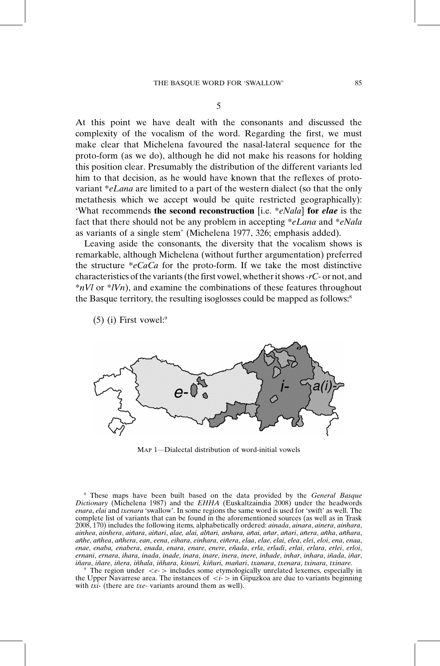At this point we have dealt with the consonants and discussed the complexity of the vocalism of the word. Regarding the first, we must make clear that Michelena favoured the nasal-lateral sequence for the proto-form (as we do), although he did not make his reasons for holding this position clear. Presumably the distribution of the different variants led him to that decision, as he would have known that the reflexes of protovariant \*eLana are limited to a part of the western dialect (so that the only metathesis which we accept would be quite restricted geographically): 'What recommends the second reconstruction [i.e. \**eNala*] for *elae* is the fact that there should not be any problem in accepting \*eLana and \*eNala

Leaving aside the consonants, the diversity that the vocalism shows is remarkable, although Michelena (without further argumentation) preferred the structure  $\sqrt[e]{e_a}$  for the proto-form. If we take the most distinctive characteristics of the variants (the first vowel, whether it shows-rC- or not, and  $*nVl$  or  $*lVn$ ), and examine the combinations of these features throughout the Basque territory, the resulting isoglosses could be mapped as follows:<sup>8</sup>

as variants of a single stem' (Michelena 1977, 326; emphasis added).

 $(5)$  (i) First vowel:<sup>9</sup>



MAP 1-Dialectal distribution of word-initial vowels

<sup>8</sup> These maps have been built based on the data provided by the General Basque Dictionary (Michelena 1987) and the EHHA (Euskaltzaindia 2008) under the headwords enara, elai and txenara 'swallow'. In some regions the same word is used for 'swift' as well. The complete list of variants that can be found in the aforementioned sources (as well as in Trask 2008, 170) includes the following items, alphabetically ordered: ainada, ainara, ainera, ainhara, ainhea, ainhera, aiñara, aiñari, alae, alai, alñari, anhara, añai, añar, añari, añera, añha, añhara, añhe, añhea, añhera, ean, eena, eihara, einhara, eiñera, elaa, elae, elai, elea, elei, eloi, ena, enaa, enae, enaba, enabera, enada, enara, enare, enere, en˜ada, erla, erladi, erlai, erlara, erlei, erloi, ernani, ernara, ihara, inada, inade, inara, inare, inera, inere, inhade, inhar, inhara, iñada, iñar,<br>iñara, iñare, iñera, iñhala, iñhara, kinuri, kiñuri, mañari, txanara, txenara, txinara, txinare.

iñara, iñare, iñera, iñhala, iñhara, kinuri, kiñuri, mañari, txanara, txenara, txinara, txinare.<br><sup>9</sup> The region under  $\langle e \rangle$  includes some etymologically unrelated lexemes, especially in the Upper Navarrese area. The instances of  $\langle i - \rangle$  in Gipuzkoa are due to variants beginning with  $txi$ - (there are txe- variants around them as well).

5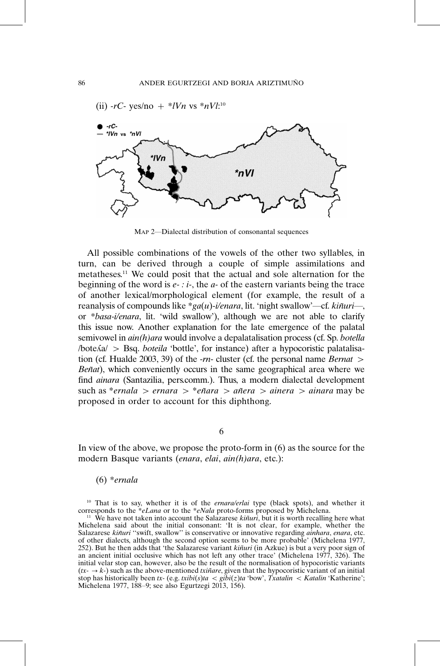

MAP 2-Dialectal distribution of consonantal sequences

All possible combinations of the vowels of the other two syllables, in turn, can be derived through a couple of simple assimilations and metatheses.11 We could posit that the actual and sole alternation for the beginning of the word is  $e - i -$ , the  $a$ - of the eastern variants being the trace of another lexical/morphological element (for example, the result of a reanalysis of compounds like \*ga(u)-i/enara, lit. 'night swallow'—cf. kin $u\dot{\tau}$ , or \*basa-i/enara, lit. 'wild swallow'), although we are not able to clarify this issue now. Another explanation for the late emergence of the palatal semivowel in  $ain(h)$ ara would involve a depalatalisation process (cf. Sp. botella /bote*ka/* > Bsq. *boteila* 'bottle', for instance) after a hypocoristic palatalisation (cf. Hualde 2003, 39) of the  $-m$ - cluster (cf. the personal name *Bernat* > Beñat), which conveniently occurs in the same geographical area where we find ainara (Santazilia, pers.comm.). Thus, a modern dialectal development such as \**ernala > ernara >* \**eñara > añera > ainera > ainara* may be proposed in order to account for this diphthong.

6

In view of the above, we propose the proto-form in (6) as the source for the modern Basque variants (enara, elai, ain(h)ara, etc.):

## (6) \*ernala

<sup>10</sup> That is to say, whether it is of the *ernara/erlai* type (black spots), and whether it corresponds to the \*eLana or to the \*eNala proto-forms proposed by Michelena.

<sup>&</sup>lt;sup>11</sup> We have not taken into account the Salazarese  $kiñuri$ , but it is worth recalling here what Michelena said about the initial consonant: 'It is not clear, for example, whether the Salazarese kiñuri "swift, swallow" is conservative or innovative regarding *ainhara*, enara, etc. of other dialects, although the second option seems to be more probable' (Michelena 1977, 252). But he then adds that 'the Salazarese variant *kiñuri* (in Azkue) is but a very poor sign of an ancient initial occlusive which has not left any other trace' (Michelena 1977, 326). The initial velar stop can, however, also be the result of the normalisation of hypocoristic variants  $(tx - \rightarrow k-)$  such as the above-mentioned *txinare*, given that the hypocoristic variant of an initial stop has historically been tx- (e.g. txibi(s)ta  $\lt$  gibi(z)ta 'bow', Txatalin  $\lt$  Katalin 'Katherine'; Michelena 1977, 188-9; see also Egurtzegi 2013, 156).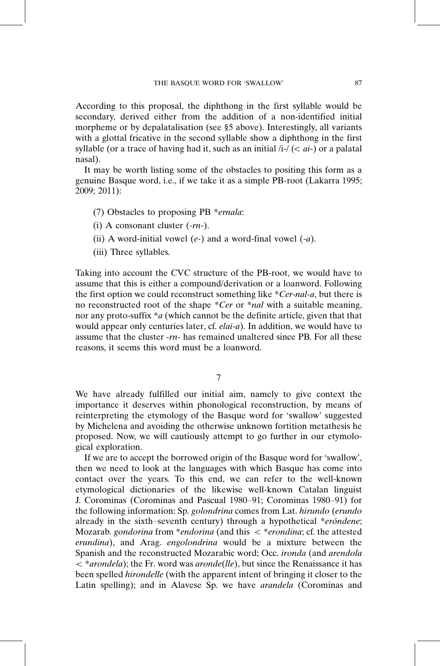According to this proposal, the diphthong in the first syllable would be secondary, derived either from the addition of a non-identified initial morpheme or by depalatalisation (see §5 above). Interestingly, all variants with a glottal fricative in the second syllable show a diphthong in the first syllable (or a trace of having had it, such as an initial  $/i$ - $\ell < ai$ -) or a palatal nasal).

It may be worth listing some of the obstacles to positing this form as a genuine Basque word, i.e., if we take it as a simple PB-root (Lakarra 1995; 2009; 2011):

- (7) Obstacles to proposing PB \*ernala:
- (i) A consonant cluster  $(-rn-)$ .
- (ii) A word-initial vowel  $(e)$  and a word-final vowel  $(-a)$ .
- (iii) Three syllables.

Taking into account the CVC structure of the PB-root, we would have to assume that this is either a compound/derivation or a loanword. Following the first option we could reconstruct something like \*Cer-nal-a, but there is no reconstructed root of the shape \*Cer or \*nal with a suitable meaning, nor any proto-suffix \*a (which cannot be the definite article, given that that would appear only centuries later, cf. *elai-a*). In addition, we would have to assume that the cluster -rn- has remained unaltered since PB. For all these reasons, it seems this word must be a loanword.

7

We have already fulfilled our initial aim, namely to give context the importance it deserves within phonological reconstruction, by means of reinterpreting the etymology of the Basque word for 'swallow' suggested by Michelena and avoiding the otherwise unknown fortition metathesis he proposed. Now, we will cautiously attempt to go further in our etymological exploration.

If we are to accept the borrowed origin of the Basque word for 'swallow', then we need to look at the languages with which Basque has come into contact over the years. To this end, we can refer to the well-known etymological dictionaries of the likewise well-known Catalan linguist J. Corominas (Corominas and Pascual 1980-91; Corominas 1980-91) for the following information: Sp. golondrina comes from Lat. hirundo (erundo already in the sixth-seventh century) through a hypothetical \*eróndene; Mozarab. gondorina from \*endorina (and this  $\lt$  \*erondina; cf. the attested erundina), and Arag. engolondrina would be a mixture between the Spanish and the reconstructed Mozarabic word; Occ. ironda (and arendola  $\langle$  \*arondela); the Fr. word was aronde(lle), but since the Renaissance it has been spelled hirondelle (with the apparent intent of bringing it closer to the Latin spelling); and in Alavese Sp. we have *arandela* (Corominas and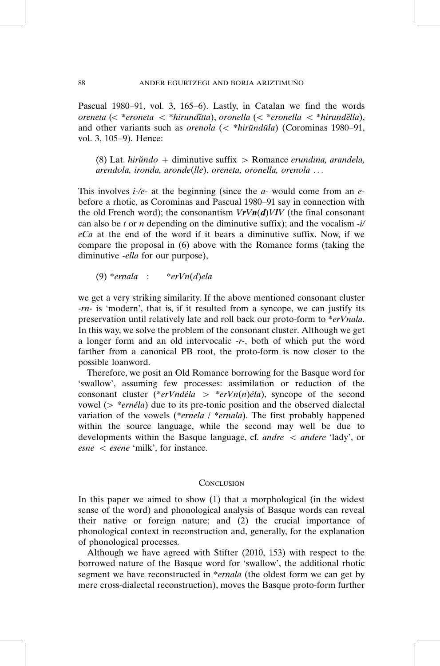Pascual 1980-91, vol. 3, 165-6). Lastly, in Catalan we find the words oreneta ( $\epsilon$  \*eroneta  $\epsilon$  \*hirundı̆tta), oronella ( $\epsilon$  \*eronella  $\epsilon$  \*hirundĕlla), and other variants such as *orenola*  $\left(\langle \cdot \rangle^* h \right]$  (Corominas 1980–91, vol. 3, 105-9). Hence:

 $(8)$  Lat. *hirŭndo* + diminutive suffix > Romance *erundina*, *arandela*, arendola, ironda, aronde(lle), oreneta, oronella, orenola ...

This involves  $i$ -/e- at the beginning (since the  $a$ - would come from an ebefore a rhotic, as Corominas and Pascual 1980-91 say in connection with the old French word); the consonantism  $VrVn(d)VlV$  (the final consonant can also be t or n depending on the diminutive suffix); and the vocalism  $-i/$  $eCa$  at the end of the word if it bears a diminutive suffix. Now, if we compare the proposal in (6) above with the Romance forms (taking the diminutive -ella for our purpose),

(9)  $*$ ernala :  $*$ erVn(d)ela

we get a very striking similarity. If the above mentioned consonant cluster -rn- is 'modern', that is, if it resulted from a syncope, we can justify its preservation until relatively late and roll back our proto-form to \*erVnala. In this way, we solve the problem of the consonant cluster. Although we get a longer form and an old intervocalic -r-, both of which put the word farther from a canonical PB root, the proto-form is now closer to the possible loanword.

Therefore, we posit an Old Romance borrowing for the Basque word for 'swallow', assuming few processes: assimilation or reduction of the consonant cluster (\**erVndéla > \*erVn(n)éla*), syncope of the second vowel ( $>$  \**ernéla*) due to its pre-tonic position and the observed dialectal variation of the vowels (\*ernela / \*ernala). The first probably happened within the source language, while the second may well be due to developments within the Basque language, cf. *andre*  $\lt$  *andere 'lady'*, or  $\textit{esne} < \textit{esene}$  'milk', for instance.

## **CONCLUSION**

In this paper we aimed to show (1) that a morphological (in the widest sense of the word) and phonological analysis of Basque words can reveal their native or foreign nature; and (2) the crucial importance of phonological context in reconstruction and, generally, for the explanation of phonological processes.

Although we have agreed with Stifter (2010, 153) with respect to the borrowed nature of the Basque word for 'swallow', the additional rhotic segment we have reconstructed in \*ernala (the oldest form we can get by mere cross-dialectal reconstruction), moves the Basque proto-form further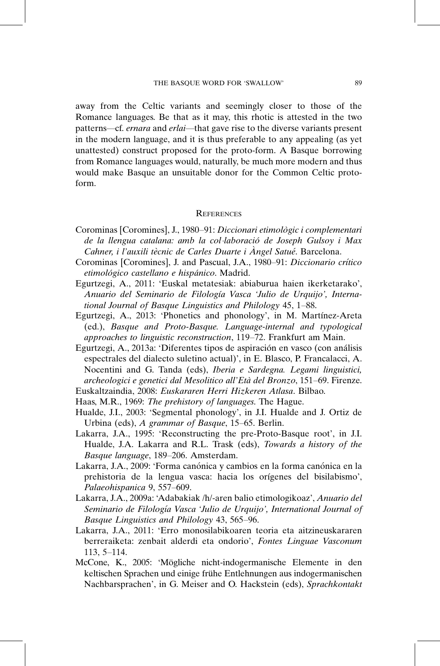away from the Celtic variants and seemingly closer to those of the Romance languages. Be that as it may, this rhotic is attested in the two patterns—cf. ernara and erlai—that gave rise to the diverse variants present in the modern language, and it is thus preferable to any appealing (as yet unattested) construct proposed for the proto-form. A Basque borrowing from Romance languages would, naturally, be much more modern and thus would make Basque an unsuitable donor for the Common Celtic protoform.

## **REFERENCES**

- Corominas [Coromines], J., 1980–91: *Diccionari etimològic i complementari* de la llengua catalana: amb la col·laboració de Joseph Gulsoy i Max Cahner, i l'auxili tècnic de Carles Duarte i Àngel Satué. Barcelona.
- Corominas [Coromines], J. and Pascual, J.A., 1980–91: Diccionario crítico etimológico castellano e hispánico. Madrid.
- Egurtzegi, A., 2011: 'Euskal metatesiak: abiaburua haien ikerketarako', Anuario del Seminario de Filología Vasca 'Julio de Urquijo', International Journal of Basque Linguistics and Philology 45, 1-88.
- Egurtzegi, A., 2013: 'Phonetics and phonology', in M. Martínez-Areta (ed.), Basque and Proto-Basque. Language-internal and typological approaches to linguistic reconstruction, 119-72. Frankfurt am Main.
- Egurtzegi, A., 2013a: 'Diferentes tipos de aspiración en vasco (con análisis espectrales del dialecto suletino actual)', in E. Blasco, P. Francalacci, A. Nocentini and G. Tanda (eds), Iberia e Sardegna. Legami linguistici, archeologici e genetici dal Mesolitico all'Eta` del Bronzo, 151-69. Firenze.
- Euskaltzaindia, 2008: Euskararen Herri Hizkeren Atlasa. Bilbao.
- Haas, M.R., 1969: The prehistory of languages. The Hague.
- Hualde, J.I., 2003: 'Segmental phonology', in J.I. Hualde and J. Ortiz de Urbina (eds), A grammar of Basque, 15–65. Berlin.
- Lakarra, J.A., 1995: 'Reconstructing the pre-Proto-Basque root', in J.I. Hualde, J.A. Lakarra and R.L. Trask (eds), Towards a history of the Basque language, 189-206. Amsterdam.
- Lakarra, J.A., 2009: 'Forma canónica y cambios en la forma canónica en la prehistoria de la lengua vasca: hacia los orígenes del bisilabismo', Palaeohispanica 9, 557-609.
- Lakarra, J.A., 2009a: 'Adabakiak /h/-aren balio etimologikoaz', Anuario del Seminario de Filología Vasca 'Julio de Urquijo', International Journal of Basque Linguistics and Philology 43, 565-96.
- Lakarra, J.A., 2011: 'Erro monosilabikoaren teoria eta aitzineuskararen berreraiketa: zenbait alderdi eta ondorio', Fontes Linguae Vasconum 113, 5-114.
- McCone, K., 2005: 'Mögliche nicht-indogermanische Elemente in den keltischen Sprachen und einige frühe Entlehnungen aus indogermanischen Nachbarsprachen', in G. Meiser and O. Hackstein (eds), Sprachkontakt